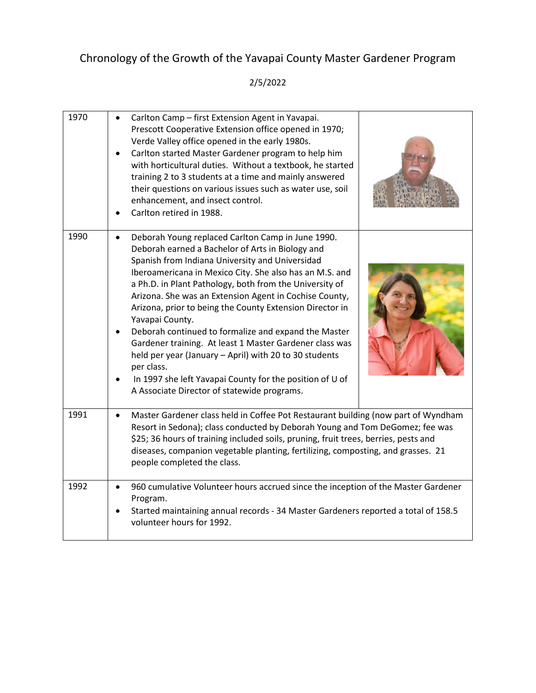| 1970 | $\bullet$ | Carlton Camp - first Extension Agent in Yavapai.<br>Prescott Cooperative Extension office opened in 1970;<br>Verde Valley office opened in the early 1980s.<br>Carlton started Master Gardener program to help him<br>with horticultural duties. Without a textbook, he started<br>training 2 to 3 students at a time and mainly answered<br>their questions on various issues such as water use, soil<br>enhancement, and insect control.<br>Carlton retired in 1988.                                                                                                                                                                                                                                                        |  |
|------|-----------|-------------------------------------------------------------------------------------------------------------------------------------------------------------------------------------------------------------------------------------------------------------------------------------------------------------------------------------------------------------------------------------------------------------------------------------------------------------------------------------------------------------------------------------------------------------------------------------------------------------------------------------------------------------------------------------------------------------------------------|--|
| 1990 | $\bullet$ | Deborah Young replaced Carlton Camp in June 1990.<br>Deborah earned a Bachelor of Arts in Biology and<br>Spanish from Indiana University and Universidad<br>Iberoamericana in Mexico City. She also has an M.S. and<br>a Ph.D. in Plant Pathology, both from the University of<br>Arizona. She was an Extension Agent in Cochise County,<br>Arizona, prior to being the County Extension Director in<br>Yavapai County.<br>Deborah continued to formalize and expand the Master<br>Gardener training. At least 1 Master Gardener class was<br>held per year (January - April) with 20 to 30 students<br>per class.<br>In 1997 she left Yavapai County for the position of U of<br>A Associate Director of statewide programs. |  |
| 1991 |           | Master Gardener class held in Coffee Pot Restaurant building (now part of Wyndham<br>Resort in Sedona); class conducted by Deborah Young and Tom DeGomez; fee was<br>\$25; 36 hours of training included soils, pruning, fruit trees, berries, pests and<br>diseases, companion vegetable planting, fertilizing, composting, and grasses. 21<br>people completed the class.                                                                                                                                                                                                                                                                                                                                                   |  |
| 1992 |           | 960 cumulative Volunteer hours accrued since the inception of the Master Gardener<br>Program.<br>Started maintaining annual records - 34 Master Gardeners reported a total of 158.5<br>volunteer hours for 1992.                                                                                                                                                                                                                                                                                                                                                                                                                                                                                                              |  |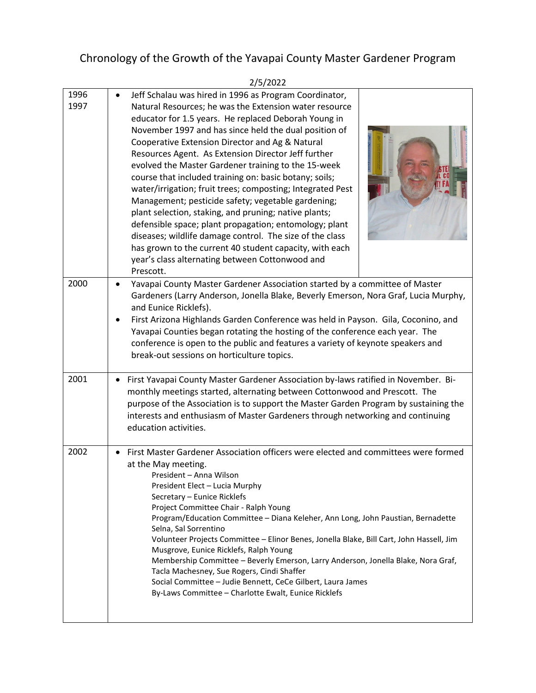|              | 27 J/ 2022                                                                                                                                                                                                                                                                                                                                                                                                                                                                                                                                                                                                                                                                                                                                                                                                                                                                                 |  |
|--------------|--------------------------------------------------------------------------------------------------------------------------------------------------------------------------------------------------------------------------------------------------------------------------------------------------------------------------------------------------------------------------------------------------------------------------------------------------------------------------------------------------------------------------------------------------------------------------------------------------------------------------------------------------------------------------------------------------------------------------------------------------------------------------------------------------------------------------------------------------------------------------------------------|--|
| 1996<br>1997 | Jeff Schalau was hired in 1996 as Program Coordinator,<br>Natural Resources; he was the Extension water resource<br>educator for 1.5 years. He replaced Deborah Young in<br>November 1997 and has since held the dual position of<br>Cooperative Extension Director and Ag & Natural<br>Resources Agent. As Extension Director Jeff further<br>evolved the Master Gardener training to the 15-week<br>course that included training on: basic botany; soils;<br>water/irrigation; fruit trees; composting; Integrated Pest<br>Management; pesticide safety; vegetable gardening;<br>plant selection, staking, and pruning; native plants;<br>defensible space; plant propagation; entomology; plant<br>diseases; wildlife damage control. The size of the class<br>has grown to the current 40 student capacity, with each<br>year's class alternating between Cottonwood and<br>Prescott. |  |
| 2000         | Yavapai County Master Gardener Association started by a committee of Master<br>Gardeners (Larry Anderson, Jonella Blake, Beverly Emerson, Nora Graf, Lucia Murphy,<br>and Eunice Ricklefs).<br>First Arizona Highlands Garden Conference was held in Payson. Gila, Coconino, and<br>Yavapai Counties began rotating the hosting of the conference each year. The<br>conference is open to the public and features a variety of keynote speakers and<br>break-out sessions on horticulture topics.                                                                                                                                                                                                                                                                                                                                                                                          |  |
| 2001         | First Yavapai County Master Gardener Association by-laws ratified in November. Bi-<br>monthly meetings started, alternating between Cottonwood and Prescott. The<br>purpose of the Association is to support the Master Garden Program by sustaining the<br>interests and enthusiasm of Master Gardeners through networking and continuing<br>education activities.                                                                                                                                                                                                                                                                                                                                                                                                                                                                                                                        |  |
| 2002         | First Master Gardener Association officers were elected and committees were formed<br>at the May meeting.<br>President - Anna Wilson<br>President Elect - Lucia Murphy<br>Secretary - Eunice Ricklefs<br>Project Committee Chair - Ralph Young<br>Program/Education Committee - Diana Keleher, Ann Long, John Paustian, Bernadette<br>Selna, Sal Sorrentino<br>Volunteer Projects Committee - Elinor Benes, Jonella Blake, Bill Cart, John Hassell, Jim<br>Musgrove, Eunice Ricklefs, Ralph Young<br>Membership Committee - Beverly Emerson, Larry Anderson, Jonella Blake, Nora Graf,<br>Tacla Machesney, Sue Rogers, Cindi Shaffer<br>Social Committee - Judie Bennett, CeCe Gilbert, Laura James<br>By-Laws Committee - Charlotte Ewalt, Eunice Ricklefs                                                                                                                                |  |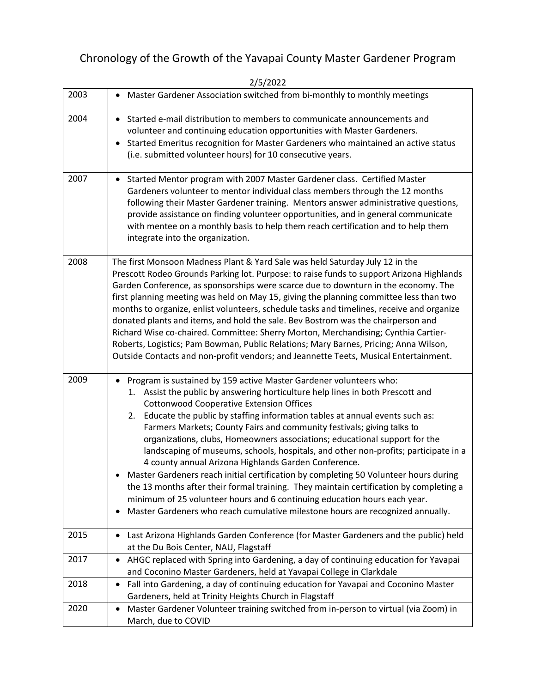|      | 21312022                                                                                                                                                                                                                                                                                                                                                                                                                                                                                                                                                                                                                                                                                                                                                                                                                                                                                                                                          |  |
|------|---------------------------------------------------------------------------------------------------------------------------------------------------------------------------------------------------------------------------------------------------------------------------------------------------------------------------------------------------------------------------------------------------------------------------------------------------------------------------------------------------------------------------------------------------------------------------------------------------------------------------------------------------------------------------------------------------------------------------------------------------------------------------------------------------------------------------------------------------------------------------------------------------------------------------------------------------|--|
| 2003 | Master Gardener Association switched from bi-monthly to monthly meetings                                                                                                                                                                                                                                                                                                                                                                                                                                                                                                                                                                                                                                                                                                                                                                                                                                                                          |  |
| 2004 | Started e-mail distribution to members to communicate announcements and<br>$\bullet$<br>volunteer and continuing education opportunities with Master Gardeners.<br>Started Emeritus recognition for Master Gardeners who maintained an active status<br>(i.e. submitted volunteer hours) for 10 consecutive years.                                                                                                                                                                                                                                                                                                                                                                                                                                                                                                                                                                                                                                |  |
| 2007 | Started Mentor program with 2007 Master Gardener class. Certified Master<br>Gardeners volunteer to mentor individual class members through the 12 months<br>following their Master Gardener training. Mentors answer administrative questions,<br>provide assistance on finding volunteer opportunities, and in general communicate<br>with mentee on a monthly basis to help them reach certification and to help them<br>integrate into the organization.                                                                                                                                                                                                                                                                                                                                                                                                                                                                                       |  |
| 2008 | The first Monsoon Madness Plant & Yard Sale was held Saturday July 12 in the<br>Prescott Rodeo Grounds Parking lot. Purpose: to raise funds to support Arizona Highlands<br>Garden Conference, as sponsorships were scarce due to downturn in the economy. The<br>first planning meeting was held on May 15, giving the planning committee less than two<br>months to organize, enlist volunteers, schedule tasks and timelines, receive and organize<br>donated plants and items, and hold the sale. Bev Bostrom was the chairperson and<br>Richard Wise co-chaired. Committee: Sherry Morton, Merchandising; Cynthia Cartier-<br>Roberts, Logistics; Pam Bowman, Public Relations; Mary Barnes, Pricing; Anna Wilson,<br>Outside Contacts and non-profit vendors; and Jeannette Teets, Musical Entertainment.                                                                                                                                   |  |
| 2009 | Program is sustained by 159 active Master Gardener volunteers who:<br>1. Assist the public by answering horticulture help lines in both Prescott and<br><b>Cottonwood Cooperative Extension Offices</b><br>2. Educate the public by staffing information tables at annual events such as:<br>Farmers Markets; County Fairs and community festivals; giving talks to<br>organizations, clubs, Homeowners associations; educational support for the<br>landscaping of museums, schools, hospitals, and other non-profits; participate in a<br>4 county annual Arizona Highlands Garden Conference.<br>Master Gardeners reach initial certification by completing 50 Volunteer hours during<br>the 13 months after their formal training. They maintain certification by completing a<br>minimum of 25 volunteer hours and 6 continuing education hours each year.<br>Master Gardeners who reach cumulative milestone hours are recognized annually. |  |
| 2015 | Last Arizona Highlands Garden Conference (for Master Gardeners and the public) held<br>at the Du Bois Center, NAU, Flagstaff                                                                                                                                                                                                                                                                                                                                                                                                                                                                                                                                                                                                                                                                                                                                                                                                                      |  |
| 2017 | AHGC replaced with Spring into Gardening, a day of continuing education for Yavapai<br>$\bullet$<br>and Coconino Master Gardeners, held at Yavapai College in Clarkdale                                                                                                                                                                                                                                                                                                                                                                                                                                                                                                                                                                                                                                                                                                                                                                           |  |
| 2018 | Fall into Gardening, a day of continuing education for Yavapai and Coconino Master<br>Gardeners, held at Trinity Heights Church in Flagstaff                                                                                                                                                                                                                                                                                                                                                                                                                                                                                                                                                                                                                                                                                                                                                                                                      |  |
| 2020 | Master Gardener Volunteer training switched from in-person to virtual (via Zoom) in<br>٠<br>March, due to COVID                                                                                                                                                                                                                                                                                                                                                                                                                                                                                                                                                                                                                                                                                                                                                                                                                                   |  |